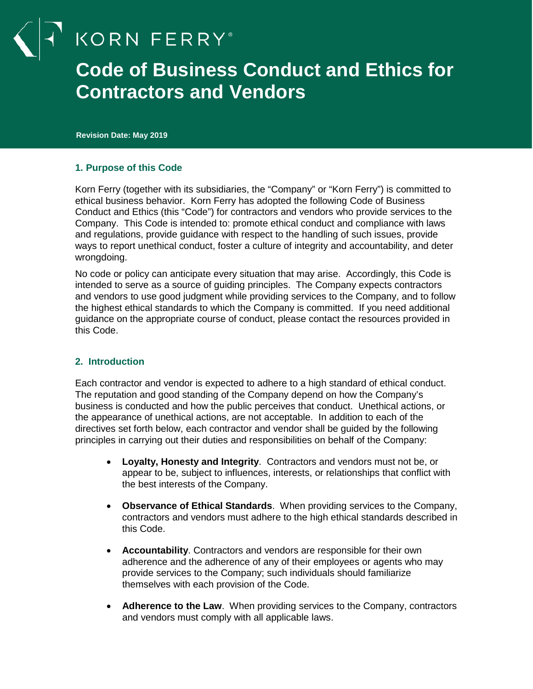KORN FERRY<sup>®</sup>

# **Code of Business Conduct and Ethics for Contractors and Vendors**

**Revision Date: May 2019**

#### **1. Purpose of this Code**

Korn Ferry (together with its subsidiaries, the "Company" or "Korn Ferry") is committed to ethical business behavior. Korn Ferry has adopted the following Code of Business Conduct and Ethics (this "Code") for contractors and vendors who provide services to the Company. This Code is intended to: promote ethical conduct and compliance with laws and regulations, provide guidance with respect to the handling of such issues, provide ways to report unethical conduct, foster a culture of integrity and accountability, and deter wrongdoing.

No code or policy can anticipate every situation that may arise. Accordingly, this Code is intended to serve as a source of guiding principles. The Company expects contractors and vendors to use good judgment while providing services to the Company, and to follow the highest ethical standards to which the Company is committed. If you need additional guidance on the appropriate course of conduct, please contact the resources provided in this Code.

#### **2. Introduction**

Each contractor and vendor is expected to adhere to a high standard of ethical conduct. The reputation and good standing of the Company depend on how the Company's business is conducted and how the public perceives that conduct. Unethical actions, or the appearance of unethical actions, are not acceptable. In addition to each of the directives set forth below, each contractor and vendor shall be guided by the following principles in carrying out their duties and responsibilities on behalf of the Company:

- **Loyalty, Honesty and Integrity**. Contractors and vendors must not be, or appear to be, subject to influences, interests, or relationships that conflict with the best interests of the Company.
- **Observance of Ethical Standards**. When providing services to the Company, contractors and vendors must adhere to the high ethical standards described in this Code.
- **Accountability**. Contractors and vendors are responsible for their own adherence and the adherence of any of their employees or agents who may provide services to the Company; such individuals should familiarize themselves with each provision of the Code.
- **Adherence to the Law**. When providing services to the Company, contractors and vendors must comply with all applicable laws.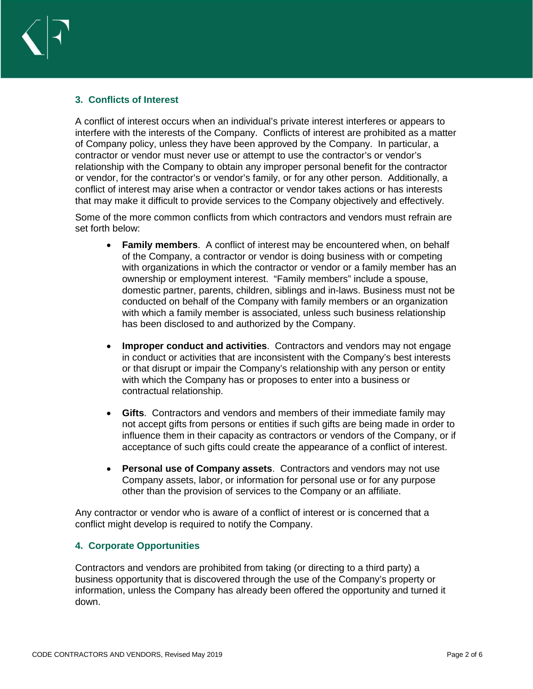

#### **3. Conflicts of Interest**

A conflict of interest occurs when an individual's private interest interferes or appears to interfere with the interests of the Company. Conflicts of interest are prohibited as a matter of Company policy, unless they have been approved by the Company. In particular, a contractor or vendor must never use or attempt to use the contractor's or vendor's relationship with the Company to obtain any improper personal benefit for the contractor or vendor, for the contractor's or vendor's family, or for any other person. Additionally, a conflict of interest may arise when a contractor or vendor takes actions or has interests that may make it difficult to provide services to the Company objectively and effectively.

Some of the more common conflicts from which contractors and vendors must refrain are set forth below:

- **Family members**. A conflict of interest may be encountered when, on behalf of the Company, a contractor or vendor is doing business with or competing with organizations in which the contractor or vendor or a family member has an ownership or employment interest. "Family members" include a spouse, domestic partner, parents, children, siblings and in-laws. Business must not be conducted on behalf of the Company with family members or an organization with which a family member is associated, unless such business relationship has been disclosed to and authorized by the Company.
- **Improper conduct and activities**. Contractors and vendors may not engage in conduct or activities that are inconsistent with the Company's best interests or that disrupt or impair the Company's relationship with any person or entity with which the Company has or proposes to enter into a business or contractual relationship.
- **Gifts**. Contractors and vendors and members of their immediate family may not accept gifts from persons or entities if such gifts are being made in order to influence them in their capacity as contractors or vendors of the Company, or if acceptance of such gifts could create the appearance of a conflict of interest.
- **Personal use of Company assets**. Contractors and vendors may not use Company assets, labor, or information for personal use or for any purpose other than the provision of services to the Company or an affiliate.

Any contractor or vendor who is aware of a conflict of interest or is concerned that a conflict might develop is required to notify the Company.

#### **4. Corporate Opportunities**

Contractors and vendors are prohibited from taking (or directing to a third party) a business opportunity that is discovered through the use of the Company's property or information, unless the Company has already been offered the opportunity and turned it down.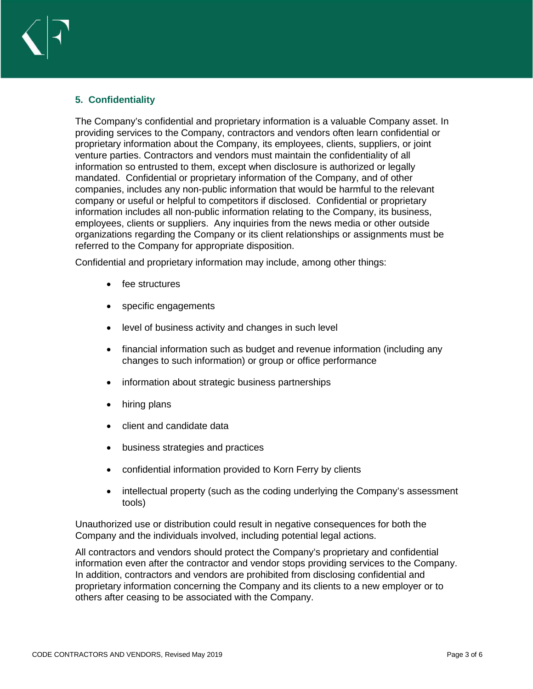# **5. Confidentiality**

The Company's confidential and proprietary information is a valuable Company asset. In providing services to the Company, contractors and vendors often learn confidential or proprietary information about the Company, its employees, clients, suppliers, or joint venture parties. Contractors and vendors must maintain the confidentiality of all information so entrusted to them, except when disclosure is authorized or legally mandated. Confidential or proprietary information of the Company, and of other companies, includes any non-public information that would be harmful to the relevant company or useful or helpful to competitors if disclosed. Confidential or proprietary information includes all non-public information relating to the Company, its business, employees, clients or suppliers. Any inquiries from the news media or other outside organizations regarding the Company or its client relationships or assignments must be referred to the Company for appropriate disposition.

Confidential and proprietary information may include, among other things:

- fee structures
- specific engagements
- level of business activity and changes in such level
- financial information such as budget and revenue information (including any changes to such information) or group or office performance
- information about strategic business partnerships
- hiring plans
- client and candidate data
- business strategies and practices
- confidential information provided to Korn Ferry by clients
- intellectual property (such as the coding underlying the Company's assessment tools)

Unauthorized use or distribution could result in negative consequences for both the Company and the individuals involved, including potential legal actions.

All contractors and vendors should protect the Company's proprietary and confidential information even after the contractor and vendor stops providing services to the Company. In addition, contractors and vendors are prohibited from disclosing confidential and proprietary information concerning the Company and its clients to a new employer or to others after ceasing to be associated with the Company.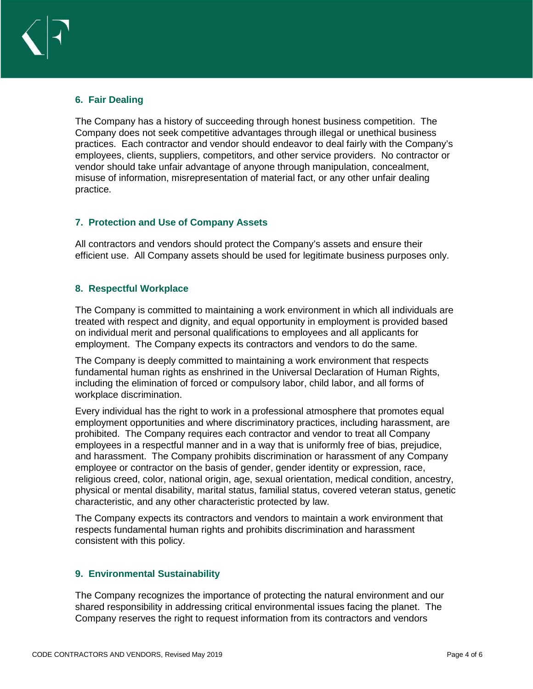

# **6. Fair Dealing**

The Company has a history of succeeding through honest business competition. The Company does not seek competitive advantages through illegal or unethical business practices. Each contractor and vendor should endeavor to deal fairly with the Company's employees, clients, suppliers, competitors, and other service providers. No contractor or vendor should take unfair advantage of anyone through manipulation, concealment, misuse of information, misrepresentation of material fact, or any other unfair dealing practice.

# **7. Protection and Use of Company Assets**

All contractors and vendors should protect the Company's assets and ensure their efficient use. All Company assets should be used for legitimate business purposes only.

#### **8. Respectful Workplace**

The Company is committed to maintaining a work environment in which all individuals are treated with respect and dignity, and equal opportunity in employment is provided based on individual merit and personal qualifications to employees and all applicants for employment. The Company expects its contractors and vendors to do the same.

The Company is deeply committed to maintaining a work environment that respects fundamental human rights as enshrined in the Universal Declaration of Human Rights, including the elimination of forced or compulsory labor, child labor, and all forms of workplace discrimination.

Every individual has the right to work in a professional atmosphere that promotes equal employment opportunities and where discriminatory practices, including harassment, are prohibited. The Company requires each contractor and vendor to treat all Company employees in a respectful manner and in a way that is uniformly free of bias, prejudice, and harassment. The Company prohibits discrimination or harassment of any Company employee or contractor on the basis of gender, gender identity or expression, race, religious creed, color, national origin, age, sexual orientation, medical condition, ancestry, physical or mental disability, marital status, familial status, covered veteran status, genetic characteristic, and any other characteristic protected by law.

The Company expects its contractors and vendors to maintain a work environment that respects fundamental human rights and prohibits discrimination and harassment consistent with this policy.

# **9. Environmental Sustainability**

The Company recognizes the importance of protecting the natural environment and our shared responsibility in addressing critical environmental issues facing the planet. The Company reserves the right to request information from its contractors and vendors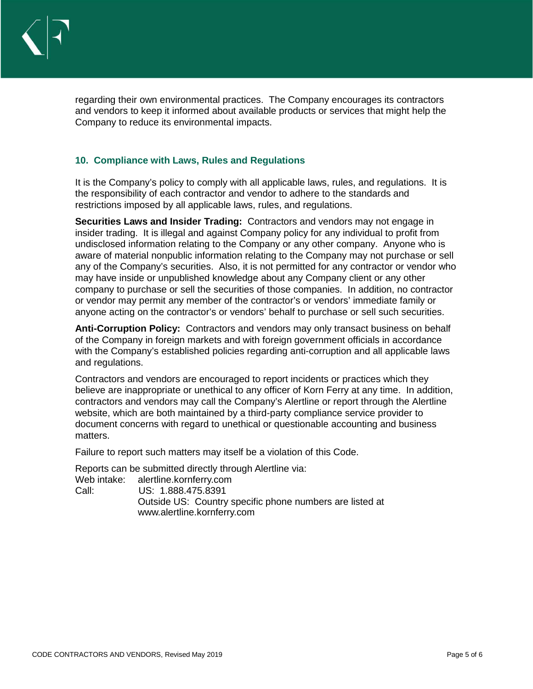

regarding their own environmental practices. The Company encourages its contractors and vendors to keep it informed about available products or services that might help the Company to reduce its environmental impacts.

### **10. Compliance with Laws, Rules and Regulations**

It is the Company's policy to comply with all applicable laws, rules, and regulations. It is the responsibility of each contractor and vendor to adhere to the standards and restrictions imposed by all applicable laws, rules, and regulations.

**Securities Laws and Insider Trading:** Contractors and vendors may not engage in insider trading. It is illegal and against Company policy for any individual to profit from undisclosed information relating to the Company or any other company. Anyone who is aware of material nonpublic information relating to the Company may not purchase or sell any of the Company's securities. Also, it is not permitted for any contractor or vendor who may have inside or unpublished knowledge about any Company client or any other company to purchase or sell the securities of those companies. In addition, no contractor or vendor may permit any member of the contractor's or vendors' immediate family or anyone acting on the contractor's or vendors' behalf to purchase or sell such securities.

**Anti-Corruption Policy:** Contractors and vendors may only transact business on behalf of the Company in foreign markets and with foreign government officials in accordance with the Company's established policies regarding anti-corruption and all applicable laws and regulations.

Contractors and vendors are encouraged to report incidents or practices which they believe are inappropriate or unethical to any officer of Korn Ferry at any time. In addition, contractors and vendors may call the Company's Alertline or report through the Alertline website, which are both maintained by a third-party compliance service provider to document concerns with regard to unethical or questionable accounting and business matters.

Failure to report such matters may itself be a violation of this Code.

Reports can be submitted directly through Alertline via:

Web intake: alertline.kornferry.com

Call: US: 1.888.475.8391 Outside US: Country specific phone numbers are listed at www.alertline.kornferry.com